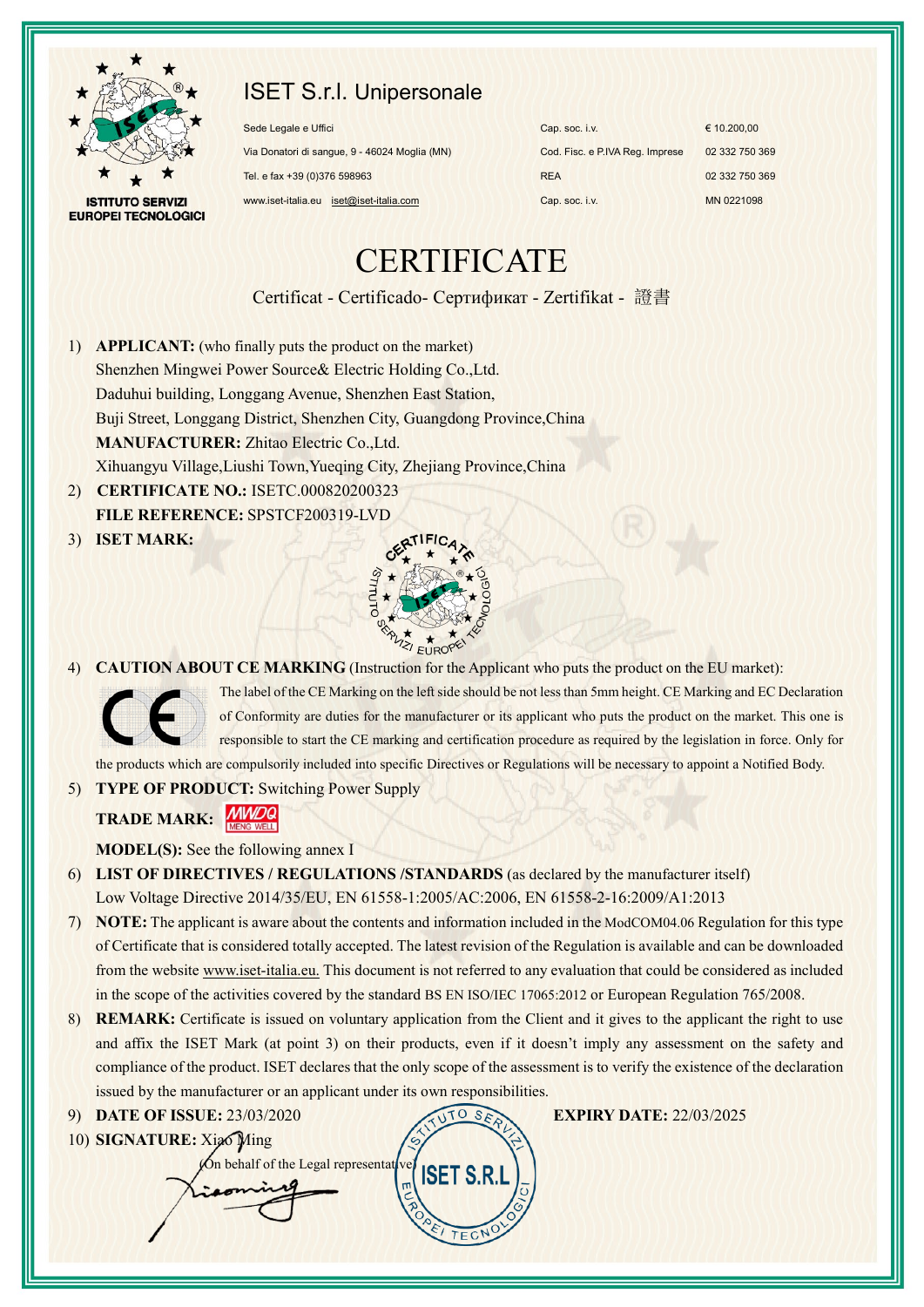

## ISET S.r.l. Unipersonale

**ISTITUTO SERVIZI EUROPEI TECNOLOGICI** 

| Sede Legale e Uffici                          | Cap. soc. i.v.                  | $\epsilon$ 10.200.00 |
|-----------------------------------------------|---------------------------------|----------------------|
| Via Donatori di sangue, 9 - 46024 Moglia (MN) | Cod. Fisc. e P.IVA Reg. Imprese | 02 332 750 369       |
| Tel. e fax +39 (0)376 598963                  | <b>REA</b>                      | 02 332 750 369       |
| www.iset-italia.eu iset@iset-italia.com       | Cap. soc. i.v.                  | MN 0221098           |

# **CERTIFICATE**

Certificat - Certificado- Сертификат - Zertifikat - 證書

- 1) **APPLICANT:** (who finally puts the product on the market) Shenzhen Mingwei Power Source& Electric Holding Co.,Ltd. Daduhui building, Longgang Avenue, Shenzhen East Station, Buji Street, Longgang District, Shenzhen City, Guangdong Province,China **MANUFACTURER:** Zhitao Electric Co.,Ltd. Xihuangyu Village,Liushi Town,Yueqing City, Zhejiang Province,China
- 2) **CERTIFICATE NO.:** ISETC.000820200323 **FILE REFERENCE:** SPSTCF200319-LVD
- 3) **ISET MARK:**



4) **CAUTION ABOUT CE MARKING** (Instruction for the Applicant who puts the product on the EU market):



The label of the CE Marking on the left side should be not less than 5mm height. CE Marking and EC Declaration of Conformity are duties for the manufacturer or its applicant who puts the product on the market. This one is responsible to start the CE marking and certification procedure as required by the legislation in force. Only for the products which are compulsorily included into specific Directives or Regulations will be necessary to appoint a Notified Body.

5) **TYPE OF PRODUCT:** Switching Power Supply

**TRADE MARK: MWDQ** 

**MODEL(S):** See the following annex I

- 6) **LIST OF DIRECTIVES / REGULATIONS /STANDARDS** (as declared by the manufacturer itself) Low Voltage Directive 2014/35/EU, EN 61558-1:2005/AC:2006, EN 61558-2-16:2009/A1:2013
- 7) **NOTE:** The applicant is aware about the contents and information included in the ModCOM04.06 Regulation for this type of Certificate that is considered totally accepted. The latest revision of the Regulation is available and can be downloaded from the website www.iset-italia.eu. This document is not referred to any evaluation that could be considered as included in the scope of the activities covered by the standard BS EN ISO/IEC 17065:2012 or European Regulation 765/2008.
- 8) **REMARK:** Certificate is issued on voluntary application from the Client and it gives to the applicant the right to use and affix the ISET Mark (at point 3) on their products, even if it doesn't imply any assessment on the safety and compliance of the product. ISET declares that the only scope of the assessment is to verify the existence of the declaration issued by the manufacturer or an applicant under its own responsibilities.

**ISET S.F** 

#### 9) **DATE OF ISSUE:** 23/03/2020 **EXPIRY DATE:** 22/03/2025

10) **SIGNATURE:** Xiao Ming

 $\chi$ On behalf of the Legal representative